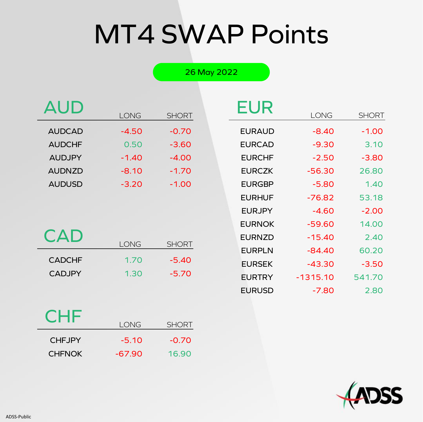# MT4 SWAP Points

26 May 2022

|               |             |              | <b>EUR</b>    |             |              |
|---------------|-------------|--------------|---------------|-------------|--------------|
|               | <b>LONG</b> | <b>SHORT</b> |               | <b>LONG</b> | <b>SHORT</b> |
| <b>AUDCAD</b> | $-4.50$     | $-0.70$      | <b>EURAUD</b> | $-8.40$     | $-1.00$      |
| <b>AUDCHF</b> | 0.50        | $-3.60$      | <b>EURCAD</b> | $-9.30$     | 3.10         |
| <b>AUDJPY</b> | $-1.40$     | $-4.00$      | <b>EURCHF</b> | $-2.50$     | $-3.80$      |
| <b>AUDNZD</b> | $-8.10$     | $-1.70$      | <b>EURCZK</b> | $-56.30$    | 26.80        |
| <b>AUDUSD</b> | $-3.20$     | $-1.00$      | <b>EURGBP</b> | $-5.80$     | 1.40         |
|               |             |              |               |             |              |

| <b>CAD</b> | LONG SHORT |
|------------|------------|
|            |            |
|            |            |

| <b>CADCHF</b> | 1.70 | $-5.40$ |
|---------------|------|---------|
| <b>CADJPY</b> | 1.30 | $-5.70$ |

|               | LUNG       | SHURI   |
|---------------|------------|---------|
| <b>EURAUD</b> | -8.40      | $-1.00$ |
| <b>EURCAD</b> | $-9.30$    | 3.10    |
| <b>EURCHF</b> | $-2.50$    | $-3.80$ |
| <b>EURCZK</b> | $-56.30$   | 26.80   |
| <b>EURGBP</b> | $-5.80$    | 1.40    |
| <b>EURHUF</b> | -76.82     | 53.18   |
| <b>EURJPY</b> | $-4.60$    | $-2.00$ |
| <b>EURNOK</b> | $-59.60$   | 14.00   |
| <b>EURNZD</b> | $-15.40$   | 2.40    |
| <b>EURPLN</b> | $-84.40$   | 60.20   |
| <b>EURSEK</b> | -43.30     | $-3.50$ |
| <b>EURTRY</b> | $-1315.10$ | 541.70  |
| <b>EURUSD</b> | -7.80      | 2.80    |

#### **CHF**

| _ _ _         | I ONG    | <b>SHORT</b> |
|---------------|----------|--------------|
| <b>CHEJPY</b> | $-5.10$  | $-0.70$      |
| <b>CHFNOK</b> | $-67.90$ | 16.90        |

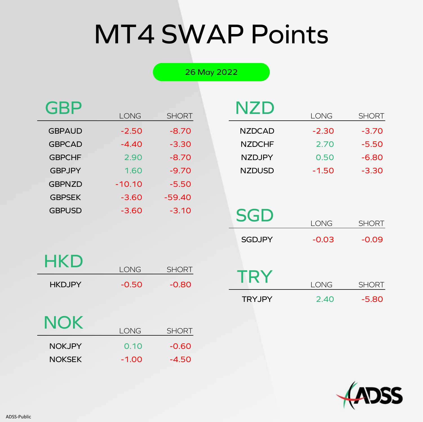# MT4 SWAP Points

26 May 2022

| <b>GBP</b>    |          |              |
|---------------|----------|--------------|
|               | LONG     | <b>SHORT</b> |
| <b>GBPAUD</b> | $-2.50$  | $-8.70$      |
| <b>GBPCAD</b> | $-4.40$  | $-3.30$      |
| <b>GBPCHF</b> | 2.90     | $-8.70$      |
| <b>GBPJPY</b> | 1.60     | $-9.70$      |
| <b>GBPNZD</b> | $-10.10$ | $-5.50$      |
| <b>GBPSEK</b> | $-3.60$  | $-59.40$     |
| <b>GBPUSD</b> | $-3.60$  | $-3.10$      |
|               |          |              |

| NZD           |         |              |
|---------------|---------|--------------|
|               | LONG    | <b>SHORT</b> |
| <b>NZDCAD</b> | $-2.30$ | $-3.70$      |
| <b>NZDCHF</b> | 2.70    | $-5.50$      |
| <b>NZDJPY</b> | 0.50    | $-6.80$      |
| <b>NZDUSD</b> | $-1.50$ | $-3.30$      |
|               |         |              |

| HKD           |             |              |
|---------------|-------------|--------------|
|               | <b>LONG</b> | <b>SHORT</b> |
| <b>HKDJPY</b> | $-0.50$     | $-0.80$      |
| NOK           | <b>LONG</b> | <b>SHORT</b> |
| <b>NOKJPY</b> | 0.10        | -0.60        |

NOKSEK -1.00 -4.50

| SGD           |         |              |
|---------------|---------|--------------|
|               | LONG    | <b>SHORT</b> |
| <b>SGDJPY</b> | $-0.03$ | $-0.09$      |
| TRY           | LONG    | <b>SHORT</b> |
| <b>TRYJPY</b> | 2.40    | $-5.80$      |